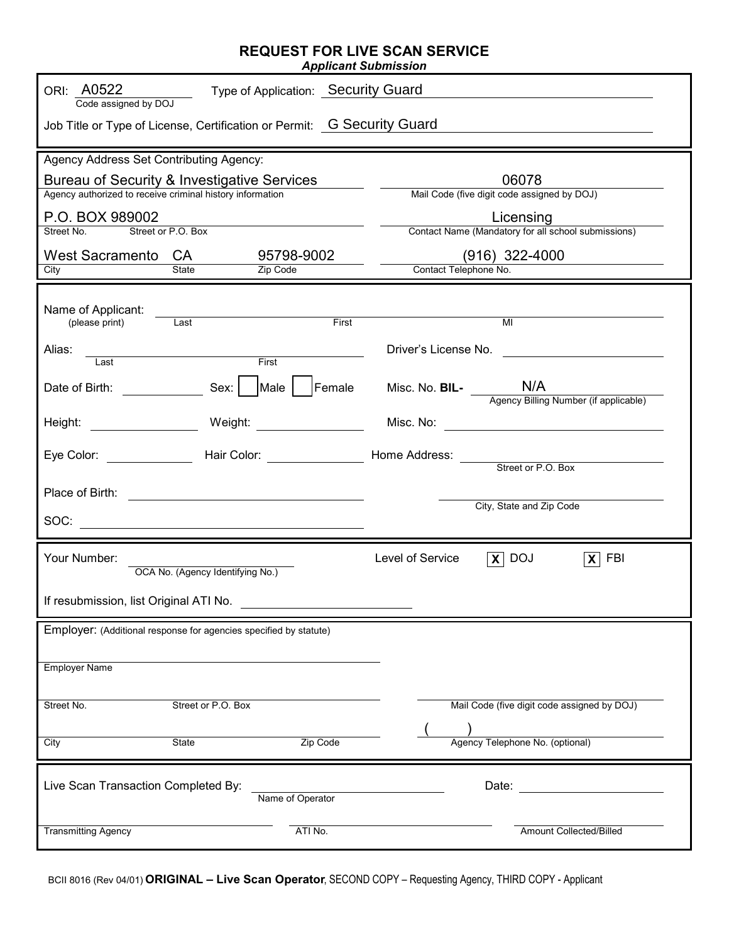## **REQUEST FOR LIVE SCAN SERVICE**

*Applicant Submission* 

| ORI: A0522<br>Type of Application: Security Guard<br>Code assigned by DOJ<br>Job Title or Type of License, Certification or Permit: G Security Guard                                                                                                                                                                                                                                  |                                                                   |  |
|---------------------------------------------------------------------------------------------------------------------------------------------------------------------------------------------------------------------------------------------------------------------------------------------------------------------------------------------------------------------------------------|-------------------------------------------------------------------|--|
|                                                                                                                                                                                                                                                                                                                                                                                       |                                                                   |  |
| Agency Address Set Contributing Agency:<br>Bureau of Security & Investigative Services<br>$\sim$ 100 $\pm$<br>Agency authorized to receive criminal history information<br>P.O. BOX 989002                                                                                                                                                                                            | 06078<br>Mail Code (five digit code assigned by DOJ)<br>Licensing |  |
| Street or P.O. Box<br>Street No.                                                                                                                                                                                                                                                                                                                                                      | Contact Name (Mandatory for all school submissions)               |  |
| West Sacramento CA<br>95798-9002<br>State<br>Zip Code<br>City                                                                                                                                                                                                                                                                                                                         | $(916)$ 322-4000<br>Contact Telephone No.                         |  |
| Name of Applicant:<br>First<br>Last<br>(please print)<br>Alias:                                                                                                                                                                                                                                                                                                                       | MI<br>Driver's License No.                                        |  |
| First<br>Last                                                                                                                                                                                                                                                                                                                                                                         | Misc. No. BIL-<br>Agency Billing Number (if applicable)           |  |
|                                                                                                                                                                                                                                                                                                                                                                                       |                                                                   |  |
|                                                                                                                                                                                                                                                                                                                                                                                       |                                                                   |  |
|                                                                                                                                                                                                                                                                                                                                                                                       | City, State and Zip Code                                          |  |
| $\texttt{SOC:}\n \begin{picture}(150,10) \put(0,0){\dashbox{0.5}(10,0){ }} \put(150,0){\circle{10}} \put(150,0){\circle{10}} \put(150,0){\circle{10}} \put(150,0){\circle{10}} \put(150,0){\circle{10}} \put(150,0){\circle{10}} \put(150,0){\circle{10}} \put(150,0){\circle{10}} \put(150,0){\circle{10}} \put(150,0){\circle{10}} \put(150,0){\circle{10}} \put(150,0){\circle{10$ |                                                                   |  |
| Your Number:<br>OCA No. (Agency Identifying No.)                                                                                                                                                                                                                                                                                                                                      | $\overline{X}$ DOJ<br>Level of Service<br>$\mathbf{X}$ FBI        |  |
| If resubmission, list Original ATI No.                                                                                                                                                                                                                                                                                                                                                |                                                                   |  |
| Employer: (Additional response for agencies specified by statute)                                                                                                                                                                                                                                                                                                                     |                                                                   |  |
| <b>Employer Name</b>                                                                                                                                                                                                                                                                                                                                                                  |                                                                   |  |
| Street or P.O. Box<br>Street No.                                                                                                                                                                                                                                                                                                                                                      | Mail Code (five digit code assigned by DOJ)                       |  |
| Zip Code<br><b>State</b><br>City                                                                                                                                                                                                                                                                                                                                                      | Agency Telephone No. (optional)                                   |  |
| Live Scan Transaction Completed By:<br>Name of Operator                                                                                                                                                                                                                                                                                                                               | Date:                                                             |  |
| <b>Transmitting Agency</b><br>ATI No.                                                                                                                                                                                                                                                                                                                                                 | <b>Amount Collected/Billed</b>                                    |  |

BCII 8016 (Rev 04/01) **ORIGINAL – Live Scan Operator** , SECOND COPY – Requesting Agency, THIRD COPY - Applicant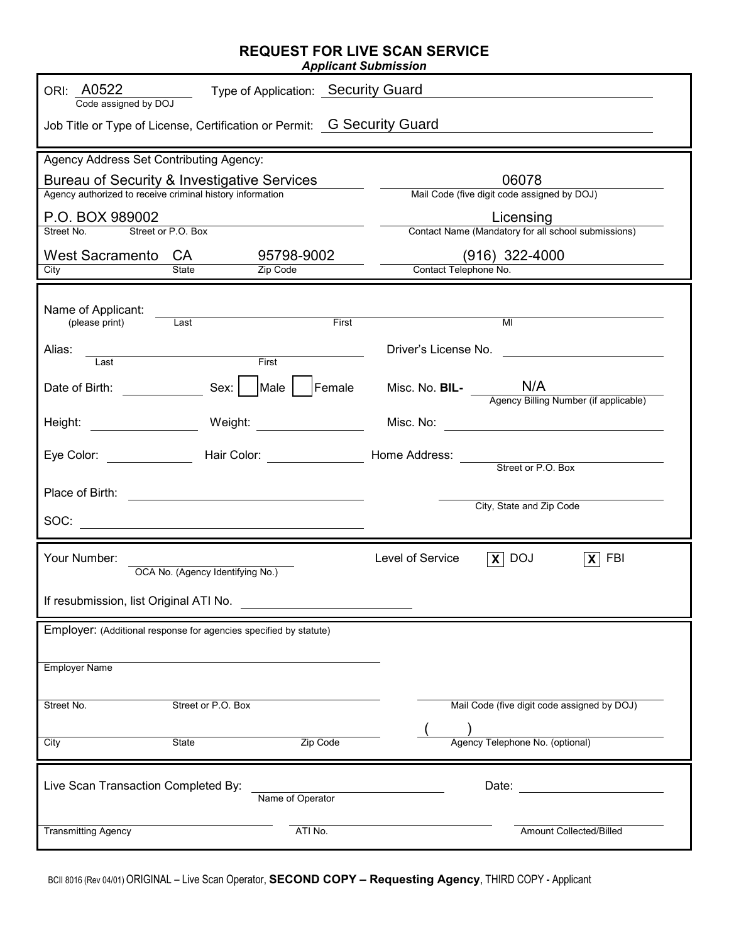## **REQUEST FOR LIVE SCAN SERVICE**

*Applicant Submission* 

| ORI: A0522<br>Type of Application: Security Guard<br>Code assigned by DOJ<br>Job Title or Type of License, Certification or Permit: G Security Guard<br><u> 1989 - Johann Barbara, martxa alemaniar arg</u> |                                                                                                                            |  |
|-------------------------------------------------------------------------------------------------------------------------------------------------------------------------------------------------------------|----------------------------------------------------------------------------------------------------------------------------|--|
|                                                                                                                                                                                                             |                                                                                                                            |  |
| Agency Address Set Contributing Agency:                                                                                                                                                                     |                                                                                                                            |  |
| Bureau of Security & Investigative Services                                                                                                                                                                 | 06078                                                                                                                      |  |
| Agency authorized to receive criminal history information                                                                                                                                                   | Mail Code (five digit code assigned by DOJ)                                                                                |  |
| P.O. BOX 989002                                                                                                                                                                                             | Licensing                                                                                                                  |  |
| Street or P.O. Box<br>Street No.                                                                                                                                                                            | Contact Name (Mandatory for all school submissions)                                                                        |  |
| West Sacramento CA<br>95798-9002                                                                                                                                                                            | $(916)$ 322-4000                                                                                                           |  |
| State<br>Zip Code<br>City                                                                                                                                                                                   | Contact Telephone No.                                                                                                      |  |
| Name of Applicant:<br>Last<br>(please print)<br>Alias:<br>First<br>Last<br>SOC: $\qquad \qquad$                                                                                                             | First<br>MI<br>Driver's License No.<br>Misc. No. BIL-<br>Agency Billing Number (if applicable)<br>City, State and Zip Code |  |
| Your Number:                                                                                                                                                                                                | Level of Service<br>$\overline{X}$ DOJ<br>$\overline{X}$ FBI                                                               |  |
| OCA No. (Agency Identifying No.)                                                                                                                                                                            |                                                                                                                            |  |
| If resubmission, list Original ATI No.                                                                                                                                                                      |                                                                                                                            |  |
| Employer: (Additional response for agencies specified by statute)                                                                                                                                           |                                                                                                                            |  |
| <b>Employer Name</b>                                                                                                                                                                                        |                                                                                                                            |  |
| Street No.<br>Street or P.O. Box                                                                                                                                                                            | Mail Code (five digit code assigned by DOJ)                                                                                |  |
|                                                                                                                                                                                                             |                                                                                                                            |  |
| <b>State</b><br>City                                                                                                                                                                                        | Agency Telephone No. (optional)<br>Zip Code                                                                                |  |
| Live Scan Transaction Completed By:<br>Name of Operator                                                                                                                                                     | Date:                                                                                                                      |  |
| <b>Transmitting Agency</b><br>ATI No.                                                                                                                                                                       | Amount Collected/Billed                                                                                                    |  |

BCII 8016 (Rev 04/01) ORIGINAL – Live Scan Operator, **SECOND COPY – Requesting Agency**, THIRD COPY - Applicant